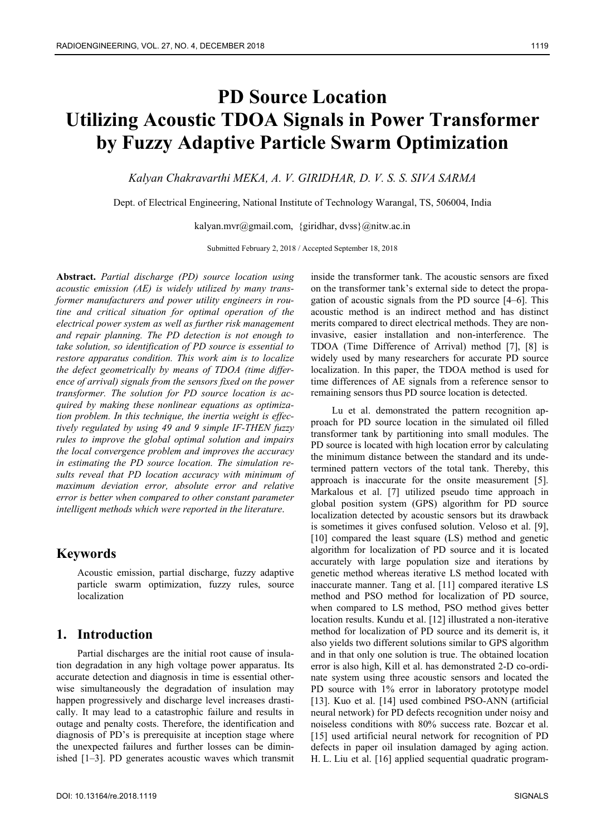# **PD Source Location Utilizing Acoustic TDOA Signals in Power Transformer by Fuzzy Adaptive Particle Swarm Optimization**

*Kalyan Chakravarthi MEKA, A. V. GIRIDHAR, D. V. S. S. SIVA SARMA* 

Dept. of Electrical Engineering, National Institute of Technology Warangal, TS, 506004, India

kalyan.mvr@gmail.com, {giridhar, dvss}@nitw.ac.in

Submitted February 2, 2018 / Accepted September 18, 2018

**Abstract.** *Partial discharge (PD) source location using acoustic emission (AE) is widely utilized by many transformer manufacturers and power utility engineers in routine and critical situation for optimal operation of the electrical power system as well as further risk management and repair planning. The PD detection is not enough to take solution, so identification of PD source is essential to restore apparatus condition. This work aim is to localize the defect geometrically by means of TDOA (time difference of arrival) signals from the sensors fixed on the power transformer. The solution for PD source location is acquired by making these nonlinear equations as optimization problem. In this technique, the inertia weight is effectively regulated by using 49 and 9 simple IF-THEN fuzzy rules to improve the global optimal solution and impairs the local convergence problem and improves the accuracy in estimating the PD source location. The simulation results reveal that PD location accuracy with minimum of maximum deviation error, absolute error and relative error is better when compared to other constant parameter intelligent methods which were reported in the literature*.

## **Keywords**

Acoustic emission, partial discharge, fuzzy adaptive particle swarm optimization, fuzzy rules, source localization

## **1. Introduction**

Partial discharges are the initial root cause of insulation degradation in any high voltage power apparatus. Its accurate detection and diagnosis in time is essential otherwise simultaneously the degradation of insulation may happen progressively and discharge level increases drastically. It may lead to a catastrophic failure and results in outage and penalty costs. Therefore, the identification and diagnosis of PD's is prerequisite at inception stage where the unexpected failures and further losses can be diminished [1–3]. PD generates acoustic waves which transmit

inside the transformer tank. The acoustic sensors are fixed on the transformer tank's external side to detect the propagation of acoustic signals from the PD source [4–6]. This acoustic method is an indirect method and has distinct merits compared to direct electrical methods. They are noninvasive, easier installation and non-interference. The TDOA (Time Difference of Arrival) method [7], [8] is widely used by many researchers for accurate PD source localization. In this paper, the TDOA method is used for time differences of AE signals from a reference sensor to remaining sensors thus PD source location is detected.

Lu et al. demonstrated the pattern recognition approach for PD source location in the simulated oil filled transformer tank by partitioning into small modules. The PD source is located with high location error by calculating the minimum distance between the standard and its undetermined pattern vectors of the total tank. Thereby, this approach is inaccurate for the onsite measurement [5]. Markalous et al. [7] utilized pseudo time approach in global position system (GPS) algorithm for PD source localization detected by acoustic sensors but its drawback is sometimes it gives confused solution. Veloso et al. [9], [10] compared the least square (LS) method and genetic algorithm for localization of PD source and it is located accurately with large population size and iterations by genetic method whereas iterative LS method located with inaccurate manner. Tang et al. [11] compared iterative LS method and PSO method for localization of PD source, when compared to LS method, PSO method gives better location results. Kundu et al. [12] illustrated a non-iterative method for localization of PD source and its demerit is, it also yields two different solutions similar to GPS algorithm and in that only one solution is true. The obtained location error is also high, Kill et al. has demonstrated 2-D co-ordinate system using three acoustic sensors and located the PD source with 1% error in laboratory prototype model [13]. Kuo et al. [14] used combined PSO-ANN (artificial neural network) for PD defects recognition under noisy and noiseless conditions with 80% success rate. Bozcar et al. [15] used artificial neural network for recognition of PD defects in paper oil insulation damaged by aging action. H. L. Liu et al. [16] applied sequential quadratic program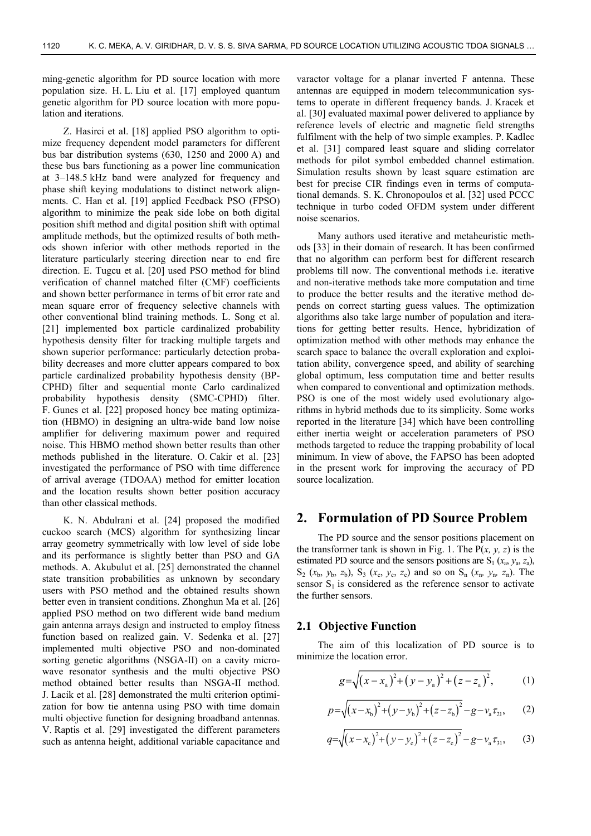ming-genetic algorithm for PD source location with more population size. H. L. Liu et al. [17] employed quantum genetic algorithm for PD source location with more population and iterations.

Z. Hasirci et al. [18] applied PSO algorithm to optimize frequency dependent model parameters for different bus bar distribution systems (630, 1250 and 2000 A) and these bus bars functioning as a power line communication at 3–148.5 kHz band were analyzed for frequency and phase shift keying modulations to distinct network alignments. C. Han et al. [19] applied Feedback PSO (FPSO) algorithm to minimize the peak side lobe on both digital position shift method and digital position shift with optimal amplitude methods, but the optimized results of both methods shown inferior with other methods reported in the literature particularly steering direction near to end fire direction. E. Tugcu et al. [20] used PSO method for blind verification of channel matched filter (CMF) coefficients and shown better performance in terms of bit error rate and mean square error of frequency selective channels with other conventional blind training methods. L. Song et al. [21] implemented box particle cardinalized probability hypothesis density filter for tracking multiple targets and shown superior performance: particularly detection probability decreases and more clutter appears compared to box particle cardinalized probability hypothesis density (BP-CPHD) filter and sequential monte Carlo cardinalized probability hypothesis density (SMC-CPHD) filter. F. Gunes et al. [22] proposed honey bee mating optimization (HBMO) in designing an ultra-wide band low noise amplifier for delivering maximum power and required noise. This HBMO method shown better results than other methods published in the literature. O. Cakir et al. [23] investigated the performance of PSO with time difference of arrival average (TDOAA) method for emitter location and the location results shown better position accuracy than other classical methods.

K. N. Abdulrani et al. [24] proposed the modified cuckoo search (MCS) algorithm for synthesizing linear array geometry symmetrically with low level of side lobe and its performance is slightly better than PSO and GA methods. A. Akubulut et al. [25] demonstrated the channel state transition probabilities as unknown by secondary users with PSO method and the obtained results shown better even in transient conditions. Zhonghun Ma et al. [26] applied PSO method on two different wide band medium gain antenna arrays design and instructed to employ fitness function based on realized gain. V. Sedenka et al. [27] implemented multi objective PSO and non-dominated sorting genetic algorithms (NSGA-II) on a cavity microwave resonator synthesis and the multi objective PSO method obtained better results than NSGA-II method. J. Lacik et al. [28] demonstrated the multi criterion optimization for bow tie antenna using PSO with time domain multi objective function for designing broadband antennas. V. Raptis et al. [29] investigated the different parameters such as antenna height, additional variable capacitance and

varactor voltage for a planar inverted F antenna. These antennas are equipped in modern telecommunication systems to operate in different frequency bands. J. Kracek et al. [30] evaluated maximal power delivered to appliance by reference levels of electric and magnetic field strengths fulfilment with the help of two simple examples. P. Kadlec et al. [31] compared least square and sliding correlator methods for pilot symbol embedded channel estimation. Simulation results shown by least square estimation are best for precise CIR findings even in terms of computational demands. S. K. Chronopoulos et al. [32] used PCCC technique in turbo coded OFDM system under different noise scenarios.

Many authors used iterative and metaheuristic methods [33] in their domain of research. It has been confirmed that no algorithm can perform best for different research problems till now. The conventional methods i.e. iterative and non-iterative methods take more computation and time to produce the better results and the iterative method depends on correct starting guess values. The optimization algorithms also take large number of population and iterations for getting better results. Hence, hybridization of optimization method with other methods may enhance the search space to balance the overall exploration and exploitation ability, convergence speed, and ability of searching global optimum, less computation time and better results when compared to conventional and optimization methods. PSO is one of the most widely used evolutionary algorithms in hybrid methods due to its simplicity. Some works reported in the literature [34] which have been controlling either inertia weight or acceleration parameters of PSO methods targeted to reduce the trapping probability of local minimum. In view of above, the FAPSO has been adopted in the present work for improving the accuracy of PD source localization.

## **2. Formulation of PD Source Problem**

The PD source and the sensor positions placement on the transformer tank is shown in Fig. 1. The  $P(x, y, z)$  is the estimated PD source and the sensors positions are  $S_1$  ( $x_a$ ,  $y_a$ ,  $z_a$ ),  $S_2$  ( $x_b$ ,  $y_b$ ,  $z_b$ ),  $S_3$  ( $x_c$ ,  $y_c$ ,  $z_c$ ) and so on  $S_n$  ( $x_n$ ,  $y_n$ ,  $z_n$ ). The sensor  $S_1$  is considered as the reference sensor to activate the further sensors.

#### **2.1 Objective Function**

The aim of this localization of PD source is to minimize the location error.

$$
g = \sqrt{(x - x_{a})^{2} + (y - y_{a})^{2} + (z - z_{a})^{2}},
$$
 (1)

$$
p = \sqrt{(x - x_b)^2 + (y - y_b)^2 + (z - z_b)^2} - g - v_a \tau_{21}, \qquad (2)
$$

$$
q = \sqrt{(x - x_c)^2 + (y - y_c)^2 + (z - z_c)^2} - g - v_a \tau_{31}, \qquad (3)
$$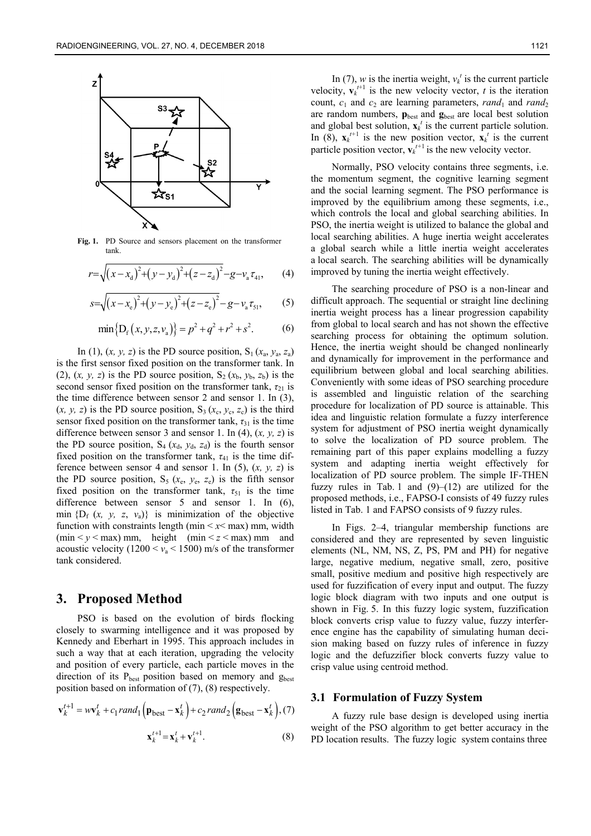

**Fig. 1.** PD Source and sensors placement on the transformer tank.

$$
r = \sqrt{(x - x_{d})^{2} + (y - y_{d})^{2} + (z - z_{d})^{2}} - g - v_{a} \tau_{41}, \qquad (4)
$$

$$
s = \sqrt{(x - x_e)^2 + (y - y_e)^2 + (z - z_e)^2} - g - v_a \tau_{51},
$$
 (5)

$$
\min\{D_f(x, y, z, v_a)\} = p^2 + q^2 + r^2 + s^2. \tag{6}
$$

In (1),  $(x, y, z)$  is the PD source position,  $S_1(x_a, y_a, z_a)$ is the first sensor fixed position on the transformer tank. In (2),  $(x, y, z)$  is the PD source position,  $S_2(x_b, y_b, z_b)$  is the second sensor fixed position on the transformer tank,  $\tau_{21}$  is the time difference between sensor 2 and sensor 1. In (3),  $(x, y, z)$  is the PD source position,  $S_3(x_c, y_c, z_c)$  is the third sensor fixed position on the transformer tank,  $\tau_{31}$  is the time difference between sensor 3 and sensor 1. In (4), (*x, y, z*) is the PD source position,  $S_4$  ( $x_d$ ,  $y_d$ ,  $z_d$ ) is the fourth sensor fixed position on the transformer tank,  $\tau_{41}$  is the time difference between sensor 4 and sensor 1. In (5), (*x, y, z*) is the PD source position,  $S_5$  ( $x_e$ ,  $y_e$ ,  $z_e$ ) is the fifth sensor fixed position on the transformer tank,  $\tau_{51}$  is the time difference between sensor 5 and sensor 1. In (6), min  $\{D_f(x, y, z, v_a)\}\$ is minimization of the objective function with constraints length (min  $\lt x \lt \text{max}$ ) mm, width (min  $\leq y \leq$  max) mm, height (min  $\leq z \leq$  max) mm and acoustic velocity  $(1200 \le v_a \le 1500)$  m/s of the transformer tank considered.

#### **3. Proposed Method**

PSO is based on the evolution of birds flocking closely to swarming intelligence and it was proposed by Kennedy and Eberhart in 1995. This approach includes in such a way that at each iteration, upgrading the velocity and position of every particle, each particle moves in the direction of its  $P_{best}$  position based on memory and  $g_{best}$ position based on information of (7), (8) respectively.

$$
\mathbf{v}_{k}^{t+1} = w\mathbf{v}_{k}^{t} + c_{1} \operatorname{rand}_{1} \left( \mathbf{p}_{\text{best}} - \mathbf{x}_{k}^{t} \right) + c_{2} \operatorname{rand}_{2} \left( \mathbf{g}_{\text{best}} - \mathbf{x}_{k}^{t} \right), (7)
$$

$$
\mathbf{x}_{k}^{t+1} = \mathbf{x}_{k}^{t} + \mathbf{v}_{k}^{t+1}.
$$
 (8)

In (7), *w* is the inertia weight,  $v_k^t$  is the current particle velocity,  $\mathbf{v}_k^{t+1}$  is the new velocity vector, *t* is the iteration count,  $c_1$  and  $c_2$  are learning parameters,  $rand_1$  and  $rand_2$ are random numbers, **p**best and **g**best are local best solution and global best solution,  $\mathbf{x}_k^t$  is the current particle solution. In (8),  $\mathbf{x}_k^{t+1}$  is the new position vector,  $\mathbf{x}_k^t$  is the current particle position vector,  $\mathbf{v}_k^{t+1}$  is the new velocity vector.

Normally, PSO velocity contains three segments, i.e. the momentum segment, the cognitive learning segment and the social learning segment. The PSO performance is improved by the equilibrium among these segments, i.e., which controls the local and global searching abilities. In PSO, the inertia weight is utilized to balance the global and local searching abilities. A huge inertia weight accelerates a global search while a little inertia weight accelerates a local search. The searching abilities will be dynamically improved by tuning the inertia weight effectively.

The searching procedure of PSO is a non-linear and difficult approach. The sequential or straight line declining inertia weight process has a linear progression capability from global to local search and has not shown the effective searching process for obtaining the optimum solution. Hence, the inertia weight should be changed nonlinearly and dynamically for improvement in the performance and equilibrium between global and local searching abilities. Conveniently with some ideas of PSO searching procedure is assembled and linguistic relation of the searching procedure for localization of PD source is attainable. This idea and linguistic relation formulate a fuzzy interference system for adjustment of PSO inertia weight dynamically to solve the localization of PD source problem. The remaining part of this paper explains modelling a fuzzy system and adapting inertia weight effectively for localization of PD source problem. The simple IF-THEN fuzzy rules in Tab. 1 and  $(9)$ – $(12)$  are utilized for the proposed methods, i.e., FAPSO-I consists of 49 fuzzy rules listed in Tab. 1 and FAPSO consists of 9 fuzzy rules.

In Figs. 2–4, triangular membership functions are considered and they are represented by seven linguistic elements (NL, NM, NS, Z, PS, PM and PH) for negative large, negative medium, negative small, zero, positive small, positive medium and positive high respectively are used for fuzzification of every input and output. The fuzzy logic block diagram with two inputs and one output is shown in Fig. 5. In this fuzzy logic system, fuzzification block converts crisp value to fuzzy value, fuzzy interference engine has the capability of simulating human decision making based on fuzzy rules of inference in fuzzy logic and the defuzzifier block converts fuzzy value to crisp value using centroid method.

#### **3.1 Formulation of Fuzzy System**

A fuzzy rule base design is developed using inertia weight of the PSO algorithm to get better accuracy in the PD location results. The fuzzy logic system contains three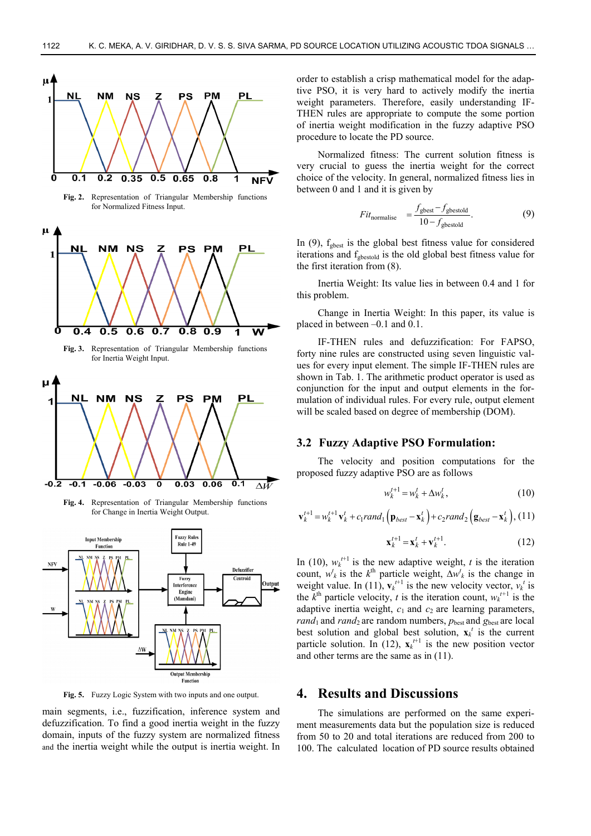

**Fig. 2.** Representation of Triangular Membership functions for Normalized Fitness Input.



**Fig. 3.** Representation of Triangular Membership functions for Inertia Weight Input.



**Fig. 4.** Representation of Triangular Membership functions for Change in Inertia Weight Output.



**Fig. 5.** Fuzzy Logic System with two inputs and one output.

main segments, i.e., fuzzification, inference system and defuzzification. To find a good inertia weight in the fuzzy domain, inputs of the fuzzy system are normalized fitness and the inertia weight while the output is inertia weight. In

order to establish a crisp mathematical model for the adaptive PSO, it is very hard to actively modify the inertia weight parameters. Therefore, easily understanding IF-THEN rules are appropriate to compute the some portion of inertia weight modification in the fuzzy adaptive PSO procedure to locate the PD source.

Normalized fitness: The current solution fitness is very crucial to guess the inertia weight for the correct choice of the velocity. In general, normalized fitness lies in between 0 and 1 and it is given by

$$
Fitnormalise = \frac{fgbest - fgbestold}{10 - fgbestold}.
$$
 (9)

In  $(9)$ ,  $f_{\text{gbest}}$  is the global best fitness value for considered iterations and fgbestold is the old global best fitness value for the first iteration from (8).

Inertia Weight: Its value lies in between 0.4 and 1 for this problem.

Change in Inertia Weight: In this paper, its value is placed in between –0.1 and 0.1.

IF-THEN rules and defuzzification: For FAPSO, forty nine rules are constructed using seven linguistic values for every input element. The simple IF-THEN rules are shown in Tab. 1. The arithmetic product operator is used as conjunction for the input and output elements in the formulation of individual rules. For every rule, output element will be scaled based on degree of membership (DOM).

#### **3.2 Fuzzy Adaptive PSO Formulation:**

The velocity and position computations for the proposed fuzzy adaptive PSO are as follows

$$
w_k^{t+1} = w_k^t + \Delta w_k^t, \qquad (10)
$$

$$
\mathbf{v}_{k}^{t+1} = w_{k}^{t+1} \mathbf{v}_{k}^{t} + c_{1} rand_{1} (\mathbf{p}_{best} - \mathbf{x}_{k}^{t}) + c_{2} rand_{2} (\mathbf{g}_{best} - \mathbf{x}_{k}^{t}), (11)
$$

$$
\mathbf{x}_{k}^{t+1} = \mathbf{x}_{k}^{t} + \mathbf{v}_{k}^{t+1}.
$$
 (12)

In (10),  $w_k^{t+1}$  is the new adaptive weight, t is the iteration count,  $w_k^t$  is the  $k^{\text{th}}$  particle weight,  $\Delta w_k^t$  is the change in weight value. In (11),  $\mathbf{v}_k^{t+1}$  is the new velocity vector,  $v_k^t$  is the  $k^{\text{th}}$  particle velocity, *t* is the iteration count,  $w_k^{t+1}$  is the adaptive inertia weight,  $c_1$  and  $c_2$  are learning parameters,  $rand_1$  and  $rand_2$  are random numbers,  $p_{best}$  and  $g_{best}$  are local best solution and global best solution,  $\mathbf{x}_k^t$  is the current particle solution. In (12),  $\mathbf{x}_k^{t+1}$  is the new position vector and other terms are the same as in (11).

## **4. Results and Discussions**

The simulations are performed on the same experiment measurements data but the population size is reduced from 50 to 20 and total iterations are reduced from 200 to 100. The calculated location of PD source results obtained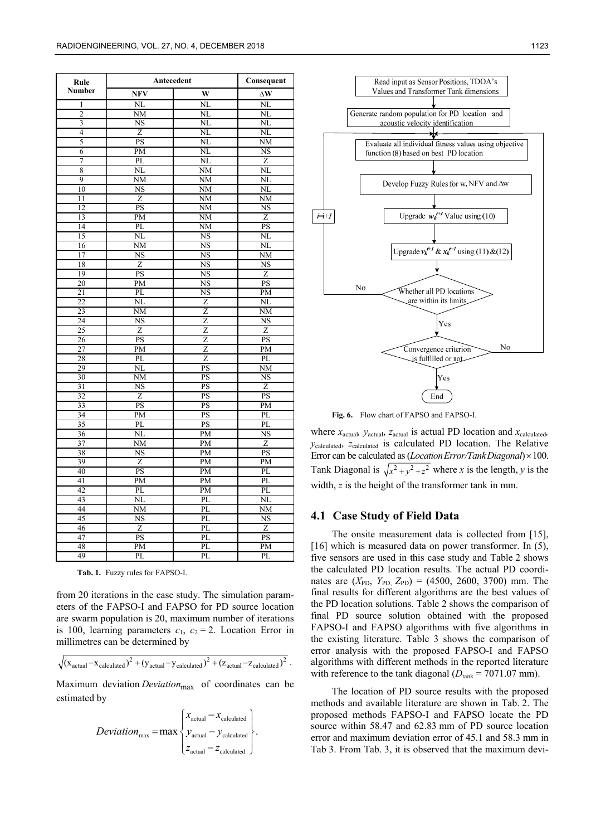| Rule                    | Antecedent             | Consequent             |                        |  |
|-------------------------|------------------------|------------------------|------------------------|--|
| Number                  | <b>NFV</b>             | W                      | $\Delta W$             |  |
| 1                       | NL                     | NL                     | NL                     |  |
| $\overline{2}$          | $\overline{\text{NM}}$ | NL                     | NL                     |  |
| $\overline{\mathbf{3}}$ | NS                     | NL                     | NL                     |  |
| $\overline{4}$          | $\overline{z}$         | $\overline{\text{NL}}$ | NL                     |  |
| 5                       | PS                     | NL                     | NΜ                     |  |
| 6                       | PM                     | NL                     | NS                     |  |
| 7                       | PL                     | $\overline{\text{NL}}$ | Z                      |  |
| 8                       | NL                     | NM                     | $\overline{\text{NL}}$ |  |
| 9                       | NM                     | NM                     | NL                     |  |
| 10                      | NS                     | $NM$                   | NL                     |  |
| 11                      | Z                      | $\overline{\text{NM}}$ | $\overline{\text{NM}}$ |  |
| 12                      | PS                     | NM                     | NS                     |  |
| $\overline{13}$         | $\overline{PM}$        | NM                     | Z                      |  |
| 14                      | PL                     | NM                     | PS                     |  |
| 15                      | NL                     | $\overline{\text{NS}}$ | NL                     |  |
| 16                      | NM                     | <b>NS</b>              | NL                     |  |
| 17                      | <b>NS</b>              | <b>NS</b>              | $\overline{\text{NM}}$ |  |
| 18                      | $\overline{z}$         | $\overline{\text{NS}}$ | $\overline{\text{NS}}$ |  |
| 19                      | PS                     | NS                     | $\overline{Z}$         |  |
| 20                      | $\overline{PM}$        | $\overline{\text{NS}}$ | PS                     |  |
| 21                      | PL                     | NS                     | PM                     |  |
| 22                      | NL                     | Z                      | NL                     |  |
| 23                      | NM                     | Z                      | NΜ                     |  |
| 24                      | NS                     | Z                      | NS                     |  |
| 25                      | Z                      | Z                      | Z                      |  |
| 26                      | PS<br>PM               | Z<br>Z                 | PS<br>PM               |  |
| 27                      | PL                     |                        | PL                     |  |
| 28<br>29                | NL                     | Z<br>PS                | NM                     |  |
| 30                      | NM                     | PS                     | $\overline{\text{NS}}$ |  |
| 31                      | $\overline{\text{NS}}$ | PS                     | Ζ                      |  |
| 32                      | Z                      | PS                     | PS                     |  |
| 33                      | PS                     | PS                     | PM                     |  |
| 34                      | PM                     | PS                     | PL                     |  |
| 35                      | PL                     | PS                     | PL                     |  |
| 36                      | ΝL                     | PM                     | $\overline{\text{NS}}$ |  |
| $\overline{37}$         | NM                     | $\overline{PM}$        | $\overline{z}$         |  |
| 38                      | ΝS                     | PM                     | PS                     |  |
| 39                      | $\overline{Z}$         | $\overline{PM}$        | PM                     |  |
| 40                      | PS                     | PM                     | PL                     |  |
| 41                      | PM                     | PM                     | PL                     |  |
| 42                      | PL                     | PM                     | PL                     |  |
| 43                      | $_{\rm NL}$            | PL                     | NL                     |  |
| 44                      | $\overline{\text{NM}}$ | PL                     | $\overline{\text{NM}}$ |  |
| 45                      | $\overline{\text{NS}}$ | PL                     | $\overline{\text{NS}}$ |  |
| 46                      | Z                      | PL                     | Z                      |  |
| 47                      | PS                     | PL                     | PS                     |  |
| 48                      | PM                     | $\overline{PL}$        | PM                     |  |
| 49                      | PL                     | PL                     | PL                     |  |
|                         |                        |                        |                        |  |

**Tab. 1.** Fuzzy rules for FAPSO-I.

from 20 iterations in the case study. The simulation parameters of the FAPSO-I and FAPSO for PD source location are swarm population is 20, maximum number of iterations is 100, learning parameters  $c_1$ ,  $c_2 = 2$ . Location Error in millimetres can be determined by

$$
\sqrt{(x_{\text{actual}} - x_{\text{calculated}})^2 + (y_{\text{actual}} - y_{\text{calculated}})^2 + (z_{\text{actual}} - z_{\text{calculated}})^2}.
$$

Maximum deviation *Deviation*<sub>max</sub> of coordinates can be estimated by

$$
Deviation_{\max} = \max \begin{cases} x_{\text{actual}} - x_{\text{calculated}} \\ y_{\text{actual}} - y_{\text{calculated}} \\ z_{\text{actual}} - z_{\text{calculated}} \end{cases}.
$$



Fig. 6. Flow chart of FAPSO and FAPSO-I

where *x*<sub>actual</sub>, *y*<sub>actual</sub>, *z*<sub>actual</sub> is actual PD location and *x*<sub>calculated</sub>, *y*calculated, *z*calculated is calculated PD location. The Relative Error can be calculated as (*Location Error/TankDiagonal*) × 100. Tank Diagonal is  $\sqrt{x^2 + y^2 + z^2}$  where *x* is the length, *y* is the width, *z* is the height of the transformer tank in mm.

#### **4.1 Case Study of Field Data**

The onsite measurement data is collected from [15], [16] which is measured data on power transformer. In (5), five sensors are used in this case study and Table 2 shows the calculated PD location results. The actual PD coordinates are  $(X_{\text{PD}}, Y_{\text{PD}}, Z_{\text{PD}}) = (4500, 2600, 3700)$  mm. The final results for different algorithms are the best values of the PD location solutions. Table 2 shows the comparison of final PD source solution obtained with the proposed FAPSO-I and FAPSO algorithms with five algorithms in the existing literature. Table 3 shows the comparison of error analysis with the proposed FAPSO-I and FAPSO algorithms with different methods in the reported literature with reference to the tank diagonal  $(D<sub>tank</sub> = 7071.07$  mm).

The location of PD source results with the proposed methods and available literature are shown in Tab. 2. The proposed methods FAPSO-I and FAPSO locate the PD source within 58.47 and 62.83 mm of PD source location error and maximum deviation error of 45.1 and 58.3 mm in Tab 3. From Tab. 3, it is observed that the maximum devi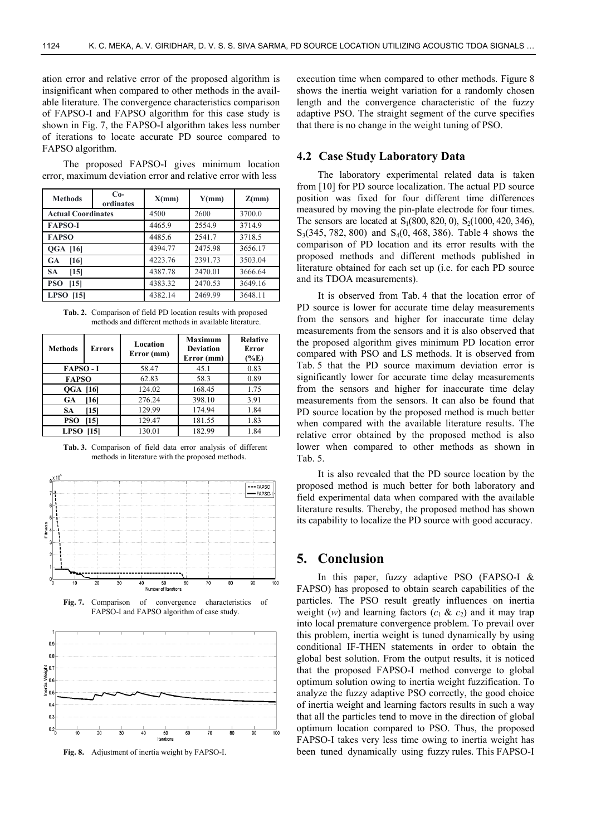ation error and relative error of the proposed algorithm is insignificant when compared to other methods in the available literature. The convergence characteristics comparison of FAPSO-I and FAPSO algorithm for this case study is shown in Fig. 7, the FAPSO-I algorithm takes less number of iterations to locate accurate PD source compared to FAPSO algorithm.

The proposed FAPSO-I gives minimum location error, maximum deviation error and relative error with less

| <b>Methods</b>            | $Co-$<br>ordinates | X(mm)   | Y(mm)   | Z(mm)   |  |
|---------------------------|--------------------|---------|---------|---------|--|
| <b>Actual Coordinates</b> |                    | 4500    | 2600    | 3700.0  |  |
| <b>FAPSO-I</b>            |                    | 4465.9  | 2554.9  | 3714.9  |  |
| <b>FAPSO</b>              |                    | 4485.6  | 2541.7  | 3718.5  |  |
| <b>QGA [16]</b>           |                    | 4394.77 | 2475.98 | 3656.17 |  |
| <b>GA</b><br>[16]         |                    | 4223.76 | 2391.73 | 3503.04 |  |
| <b>SA</b><br>[15]         |                    | 4387.78 | 2470.01 | 3666.64 |  |
| <b>PSO</b><br>[15]        |                    | 4383.32 | 2470.53 | 3649.16 |  |
| <b>LPSO</b><br>[15]       |                    | 4382.14 | 2469.99 | 3648.11 |  |

**Tab. 2.** Comparison of field PD location results with proposed methods and different methods in available literature.

| <b>Methods</b>  | Errors | Location<br>Error (mm) | <b>Maximum</b><br><b>Deviation</b><br>Error (mm) | <b>Relative</b><br>Error<br>$(\%E)$ |
|-----------------|--------|------------------------|--------------------------------------------------|-------------------------------------|
| <b>FAPSO-I</b>  |        | 58.47                  | 45.1                                             | 0.83                                |
| <b>FAPSO</b>    |        | 62.83                  | 58.3                                             | 0.89                                |
| <b>OGA [16]</b> |        | 124.02<br>168.45       |                                                  | 1.75                                |
| GA              | [16]   | 276.24                 | 398.10                                           | 3.91                                |
| <b>SA</b>       | [15]   | 129.99                 | 174.94                                           | 1.84                                |
| PSO             | [15]   | 129.47                 | 181.55                                           | 1.83                                |
| <b>LPSO</b>     | [15]   | 130.01                 | 182.99                                           | 1.84                                |

**Tab. 3.** Comparison of field data error analysis of different



**Fig. 7.** Comparison of convergence characteristics of FAPSO-I and FAPSO algorithm of case study.



**Fig. 8.** Adjustment of inertia weight by FAPSO-I.

execution time when compared to other methods. Figure 8 shows the inertia weight variation for a randomly chosen length and the convergence characteristic of the fuzzy adaptive PSO. The straight segment of the curve specifies that there is no change in the weight tuning of PSO.

#### **4.2 Case Study Laboratory Data**

The laboratory experimental related data is taken from [10] for PD source localization. The actual PD source position was fixed for four different time differences measured by moving the pin-plate electrode for four times. The sensors are located at  $S_1(800, 820, 0)$ ,  $S_2(1000, 420, 346)$ ,  $S_3(345, 782, 800)$  and  $S_4(0, 468, 386)$ . Table 4 shows the comparison of PD location and its error results with the proposed methods and different methods published in literature obtained for each set up (i.e. for each PD source and its TDOA measurements).

It is observed from Tab. 4 that the location error of PD source is lower for accurate time delay measurements from the sensors and higher for inaccurate time delay measurements from the sensors and it is also observed that the proposed algorithm gives minimum PD location error compared with PSO and LS methods. It is observed from Tab. 5 that the PD source maximum deviation error is significantly lower for accurate time delay measurements from the sensors and higher for inaccurate time delay measurements from the sensors. It can also be found that PD source location by the proposed method is much better when compared with the available literature results. The relative error obtained by the proposed method is also lower when compared to other methods as shown in Tab. 5.

It is also revealed that the PD source location by the proposed method is much better for both laboratory and field experimental data when compared with the available literature results. Thereby, the proposed method has shown its capability to localize the PD source with good accuracy.

## **5. Conclusion**

In this paper, fuzzy adaptive PSO (FAPSO-I  $&$ FAPSO) has proposed to obtain search capabilities of the particles. The PSO result greatly influences on inertia weight (*w*) and learning factors  $(c_1 \& c_2)$  and it may trap into local premature convergence problem. To prevail over this problem, inertia weight is tuned dynamically by using conditional IF-THEN statements in order to obtain the global best solution. From the output results, it is noticed that the proposed FAPSO-I method converge to global optimum solution owing to inertia weight fuzzification. To analyze the fuzzy adaptive PSO correctly, the good choice of inertia weight and learning factors results in such a way that all the particles tend to move in the direction of global optimum location compared to PSO. Thus, the proposed FAPSO-I takes very less time owing to inertia weight has been tuned dynamically using fuzzy rules. This FAPSO-I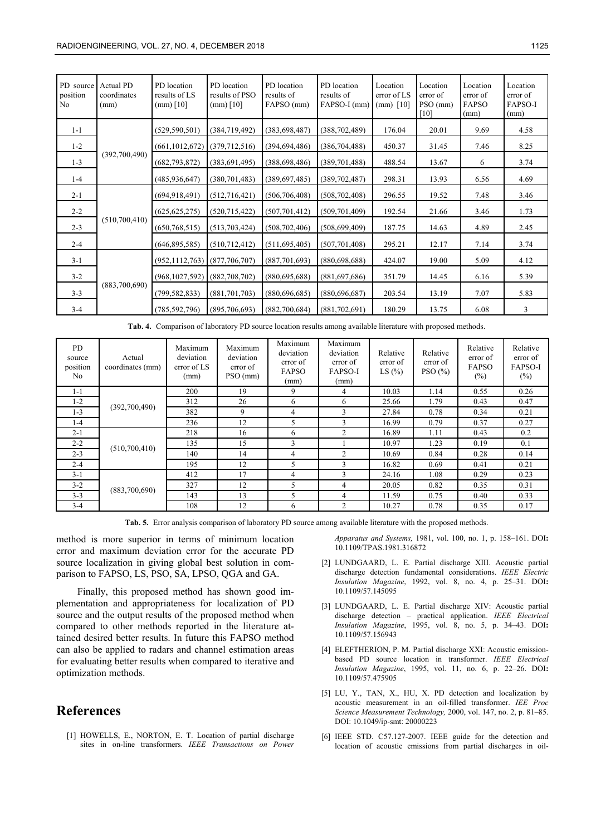| PD source<br>position<br>N <sub>o</sub> | <b>Actual PD</b><br>coordinates<br>(mm) | PD location<br>results of LS<br>$(mm)$ [10] | PD location<br>results of PSO<br>$(mm)$ [10] | PD location<br>results of<br>FAPSO (mm) | PD location<br>results of<br>FAPSO-I (mm) | Location<br>error of LS<br>(mm) $[10]$ | Location<br>error of<br>PSO (mm)<br>[10] | Location<br>error of<br>FAPSO<br>(mm) | Location<br>error of<br><b>FAPSO-I</b><br>(mm) |
|-----------------------------------------|-----------------------------------------|---------------------------------------------|----------------------------------------------|-----------------------------------------|-------------------------------------------|----------------------------------------|------------------------------------------|---------------------------------------|------------------------------------------------|
| $1 - 1$                                 |                                         | (529, 590, 501)                             | (384, 719, 492)                              | (383, 698, 487)                         | (388, 702, 489)                           | 176.04                                 | 20.01                                    | 9.69                                  | 4.58                                           |
| $1 - 2$                                 |                                         | (661, 1012, 672)                            | (379,712,516)                                | (394, 694, 486)                         | (386, 704, 488)                           | 450.37                                 | 31.45                                    | 7.46                                  | 8.25                                           |
| $1 - 3$                                 | (392,700,490)                           | (682, 793, 872)                             | (383,691,495)                                | (388, 698, 486)                         | (389, 701, 488)                           | 488.54                                 | 13.67                                    | 6                                     | 3.74                                           |
| $1 - 4$                                 |                                         | (485, 936, 647)                             | (380, 701, 483)                              | (389, 697, 485)                         | (389, 702, 487)                           | 298.31                                 | 13.93                                    | 6.56                                  | 4.69                                           |
| $2 - 1$                                 | (510,700,410)                           | (694, 918, 491)                             | (512, 716, 421)                              | (506, 706, 408)                         | (508, 702, 408)                           | 296.55                                 | 19.52                                    | 7.48                                  | 3.46                                           |
| $2 - 2$                                 |                                         | (625, 625, 275)                             | (520, 715, 422)                              | (507, 701, 412)                         | (509, 701, 409)                           | 192.54                                 | 21.66                                    | 3.46                                  | 1.73                                           |
| $2 - 3$                                 |                                         | (650, 768, 515)                             | (513, 703, 424)                              | (508, 702, 406)                         | (508, 699, 409)                           | 187.75                                 | 14.63                                    | 4.89                                  | 2.45                                           |
| $2 - 4$                                 |                                         | (646, 895, 585)                             | (510, 712, 412)                              | (511, 695, 405)                         | (507, 701, 408)                           | 295.21                                 | 12.17                                    | 7.14                                  | 3.74                                           |
| $3 - 1$                                 | (883,700,690)                           | (952, 1112, 763)                            | (877,706,707)                                | (887,701,693)                           | (880, 698, 688)                           | 424.07                                 | 19.00                                    | 5.09                                  | 4.12                                           |
| $3 - 2$                                 |                                         | (968, 1027, 592)                            | (882,708,702)                                | (880, 695, 688)                         | (881,697,686)                             | 351.79                                 | 14.45                                    | 6.16                                  | 5.39                                           |
| $3 - 3$                                 |                                         | (799, 582, 833)                             | (881,701,703)                                | (880, 696, 685)                         | (880, 696, 687)                           | 203.54                                 | 13.19                                    | 7.07                                  | 5.83                                           |
| $3-4$                                   |                                         | (785, 592, 796)                             | (895,706,693)                                | (882,700,684)                           | (881,702,691)                             | 180.29                                 | 13.75                                    | 6.08                                  | 3                                              |

**Tab. 4.** Comparison of laboratory PD source location results among available literature with proposed methods.

| <b>PD</b><br>source<br>position<br>No | Actual<br>coordinates (mm) | Maximum<br>deviation<br>error of LS<br>(mm) | Maximum<br>deviation<br>error of<br>PSO (mm) | Maximum<br>deviation<br>error of<br>FAPSO<br>(mm) | Maximum<br>deviation<br>error of<br><b>FAPSO-I</b><br>(mm) | Relative<br>error of<br>LS $(\% )$ | Relative<br>error of<br>PSO(%) | Relative<br>error of<br><b>FAPSO</b><br>(%) | Relative<br>error of<br><b>FAPSO-I</b><br>$(\%)$ |
|---------------------------------------|----------------------------|---------------------------------------------|----------------------------------------------|---------------------------------------------------|------------------------------------------------------------|------------------------------------|--------------------------------|---------------------------------------------|--------------------------------------------------|
| $1 - 1$                               |                            | 200                                         | 19                                           | 9                                                 | 4                                                          | 10.03                              | 1.14                           | 0.55                                        | 0.26                                             |
| $1 - 2$                               | (392,700,490)              | 312                                         | 26                                           | 6                                                 | 6                                                          | 25.66                              | 1.79                           | 0.43                                        | 0.47                                             |
| $1 - 3$                               |                            | 382                                         | 9                                            | 4                                                 | 3                                                          | 27.84                              | 0.78                           | 0.34                                        | 0.21                                             |
| $1 - 4$                               |                            | 236                                         | 12                                           | 5                                                 | 3                                                          | 16.99                              | 0.79                           | 0.37                                        | 0.27                                             |
| $2 - 1$                               | (510,700,410)              | 218                                         | 16                                           | 6                                                 | $\overline{c}$                                             | 16.89                              | 1.11                           | 0.43                                        | 0.2                                              |
| $2 - 2$                               |                            | 135                                         | 15                                           | 3                                                 |                                                            | 10.97                              | 1.23                           | 0.19                                        | 0.1                                              |
| $2 - 3$                               |                            | 140                                         | 14                                           | 4                                                 | 2                                                          | 10.69                              | 0.84                           | 0.28                                        | 0.14                                             |
| $2 - 4$                               |                            | 195                                         | 12                                           | 5                                                 | 3                                                          | 16.82                              | 0.69                           | 0.41                                        | 0.21                                             |
| $3 - 1$                               | (883,700,690)              | 412                                         | 17                                           | 4                                                 | 3                                                          | 24.16                              | 1.08                           | 0.29                                        | 0.23                                             |
| $3 - 2$                               |                            | 327                                         | 12                                           | 5                                                 | 4                                                          | 20.05                              | 0.82                           | 0.35                                        | 0.31                                             |
| $3 - 3$                               |                            | 143                                         | 13                                           | 5                                                 | 4                                                          | 11.59                              | 0.75                           | 0.40                                        | 0.33                                             |
| $3 - 4$                               |                            | 108                                         | 12                                           | 6                                                 | 2                                                          | 10.27                              | 0.78                           | 0.35                                        | 0.17                                             |

**Tab. 5.** Error analysis comparison of laboratory PD source among available literature with the proposed methods.

method is more superior in terms of minimum location error and maximum deviation error for the accurate PD source localization in giving global best solution in comparison to FAPSO, LS, PSO, SA, LPSO, QGA and GA.

Finally, this proposed method has shown good implementation and appropriateness for localization of PD source and the output results of the proposed method when compared to other methods reported in the literature attained desired better results. In future this FAPSO method can also be applied to radars and channel estimation areas for evaluating better results when compared to iterative and optimization methods.

# **References**

[1] HOWELLS, E., NORTON, E. T. Location of partial discharge sites in on-line transformers. *IEEE Transactions on Power*  *Apparatus and Systems,* 1981, vol. 100, no. 1, p. 158–161. DOI**:**  10.1109/TPAS.1981.316872

- [2] LUNDGAARD, L. E. Partial discharge XIII. Acoustic partial discharge detection fundamental considerations. *IEEE Electric Insulation Magazine*, 1992, vol. 8, no. 4, p. 25–31. DOI**:**  10.1109/57.145095
- [3] LUNDGAARD, L. E. Partial discharge XIV: Acoustic partial discharge detection – practical application. *IEEE Electrical Insulation Magazine*, 1995, vol. 8, no. 5, p. 34–43. DOI**:**  10.1109/57.156943
- [4] ELEFTHERION, P. M. Partial discharge XXI: Acoustic emissionbased PD source location in transformer. *IEEE Electrical Insulation Magazine*, 1995, vol. 11, no. 6, p. 22–26. DOI**:**  10.1109/57.475905
- [5] LU, Y., TAN, X., HU, X. PD detection and localization by acoustic measurement in an oil-filled transformer. *IEE Proc Science Measurement Technology,* 2000, vol. 147, no. 2, p. 81–85. DOI: 10.1049/ip-smt: 20000223
- [6] IEEE STD. C57.127-2007. IEEE guide for the detection and location of acoustic emissions from partial discharges in oil-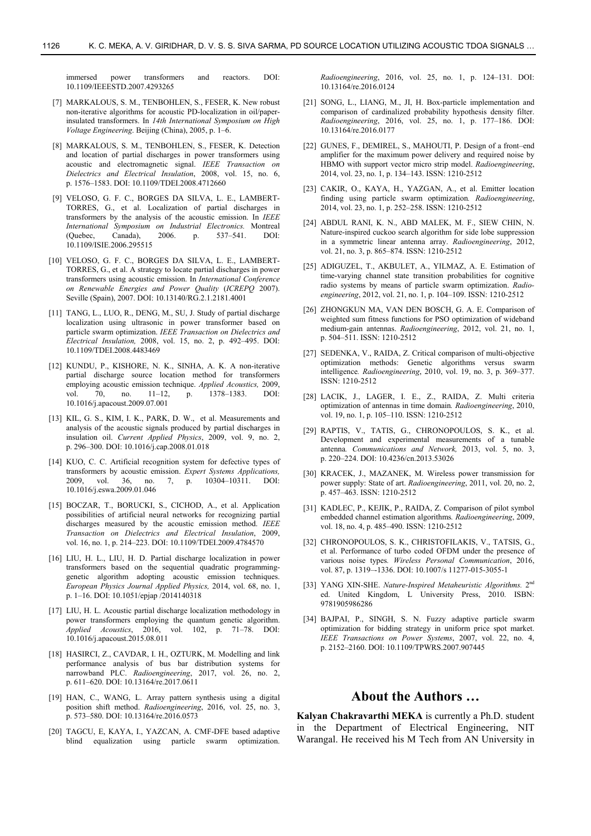immersed power transformers and reactors. DOI: 10.1109/IEEESTD.2007.4293265

- [7] MARKALOUS, S. M., TENBOHLEN, S., FESER, K. New robust non-iterative algorithms for acoustic PD-localization in oil/paperinsulated transformers. In *14th International Symposium on High Voltage Engineering*. Beijing (China), 2005, p. 1–6.
- [8] MARKALOUS, S. M., TENBOHLEN, S., FESER, K. Detection and location of partial discharges in power transformers using acoustic and electromagnetic signal. *IEEE Transaction on Dielectrics and Electrical Insulation*, 2008, vol. 15, no. 6, p. 1576–1583. DOI: 10.1109/TDEI.2008.4712660
- [9] VELOSO, G. F. C., BORGES DA SILVA, L. E., LAMBERT-TORRES, G., et al. Localization of partial discharges in transformers by the analysis of the acoustic emission. In *IEEE International Symposium on Industrial Electronics.* Montreal (Quebec, Canada), 2006. p. 537–541. DOI: 10.1109/ISIE.2006.295515
- [10] VELOSO, G. F. C., BORGES DA SILVA, L. E., LAMBERT-TORRES, G., et al. A strategy to locate partial discharges in power transformers using acoustic emission. In *International Conference on Renewable Energies and Power Quality* (*ICREPQ* 2007). Seville (Spain), 2007. DOI: 10.13140/RG.2.1.2181.4001
- [11] TANG, L., LUO, R., DENG, M., SU, J. Study of partial discharge localization using ultrasonic in power transformer based on particle swarm optimization. *IEEE Transaction on Dielectrics and Electrical Insulation,* 2008, vol. 15, no. 2, p. 492–495. DOI: 10.1109/TDEI.2008.4483469
- [12] KUNDU, P., KISHORE, N. K., SINHA, A. K. A non-iterative partial discharge source location method for transformers employing acoustic emission technique. *Applied Acoustics,* 2009, vol. 70, no. 11–12, p. 1378–1383. DOI: 10.1016/j.apacoust.2009.07.001
- [13] KIL, G. S., KIM, I. K., PARK, D. W., et al. Measurements and analysis of the acoustic signals produced by partial discharges in insulation oil. *Current Applied Physics*, 2009, vol. 9, no. 2, p. 296–300. DOI: 10.1016/j.cap.2008.01.018
- [14] KUO, C. C. Artificial recognition system for defective types of transformers by acoustic emission. *Expert Systems Applications,* 2009, vol. 36, no. 7, p. 10304–10311. DOI: 10.1016/j.eswa.2009.01.046
- [15] BOCZAR, T., BORUCKI, S., CICHOD, A., et al. Application possibilities of artificial neural networks for recognizing partial discharges measured by the acoustic emission method. *IEEE Transaction on Dielectrics and Electrical Insulation*, 2009, vol. 16, no. 1, p. 214–223. DOI: 10.1109/TDEI.2009.4784570
- [16] LIU, H. L., LIU, H. D. Partial discharge localization in power transformers based on the sequential quadratic programminggenetic algorithm adopting acoustic emission techniques. *European Physics Journal Applied Physics,* 2014, vol. 68, no. 1, p. 1–16. DOI: 10.1051/epjap /2014140318
- [17] LIU, H. L. Acoustic partial discharge localization methodology in power transformers employing the quantum genetic algorithm. *Applied Acoustics*, 2016, vol. 102, p. 71–78. DOI: 10.1016/j.apacoust.2015.08.011
- [18] HASIRCI, Z., CAVDAR, I. H., OZTURK, M. Modelling and link performance analysis of bus bar distribution systems for narrowband PLC. *Radioengineering*, 2017, vol. 26, no. 2, p. 611–620. DOI: 10.13164/re.2017.0611
- [19] HAN, C., WANG, L. Array pattern synthesis using a digital position shift method. *Radioengineering*, 2016, vol. 25, no. 3, p. 573–580. DOI: 10.13164/re.2016.0573
- [20] TAGCU, E, KAYA, I., YAZCAN, A. CMF-DFE based adaptive blind equalization using particle swarm optimization.

*Radioengineering*, 2016, vol. 25, no. 1, p. 124–131. DOI: 10.13164/re.2016.0124

- [21] SONG, L., LIANG, M., JI, H. Box-particle implementation and comparison of cardinalized probability hypothesis density filter. *Radioengineering*, 2016, vol. 25, no. 1, p. 177–186. DOI: 10.13164/re.2016.0177
- [22] GUNES, F., DEMIREL, S., MAHOUTI, P. Design of a front–end amplifier for the maximum power delivery and required noise by HBMO with support vector micro strip model. *Radioengineering*, 2014, vol. 23, no. 1, p. 134–143. ISSN: 1210-2512
- [23] CAKIR, O., KAYA, H., YAZGAN, A., et al. Emitter location finding using particle swarm optimization*. Radioengineering*, 2014, vol. 23, no. 1, p. 252–258. ISSN: 1210-2512
- [24] ABDUL RANI, K. N., ABD MALEK, M. F., SIEW CHIN, N. Nature-inspired cuckoo search algorithm for side lobe suppression in a symmetric linear antenna array. *Radioengineering*, 2012, vol. 21, no. 3, p. 865–874. ISSN: 1210-2512
- [25] ADIGUZEL, T., AKBULET, A., YILMAZ, A. E. Estimation of time-varying channel state transition probabilities for cognitive radio systems by means of particle swarm optimization. *Radioengineering*, 2012, vol. 21, no. 1, p. 104–109. ISSN: 1210-2512
- [26] ZHONGKUN MA, VAN DEN BOSCH, G. A. E. Comparison of weighted sum fitness functions for PSO optimization of wideband medium-gain antennas. *Radioengineering*, 2012, vol. 21, no. 1, p. 504–511. ISSN: 1210-2512
- [27] SEDENKA, V., RAIDA, Z. Critical comparison of multi-objective optimization methods: Genetic algorithms versus swarm intelligence*. Radioengineering*, 2010, vol. 19, no. 3, p. 369–377. ISSN: 1210-2512
- [28] LACIK, J., LAGER, I. E., Z., RAIDA, Z. Multi criteria optimization of antennas in time domain*. Radioengineering*, 2010, vol. 19, no. 1, p. 105-110. ISSN: 1210-2512
- [29] RAPTIS, V., TATIS, G., CHRONOPOULOS, S. K., et al. Development and experimental measurements of a tunable antenna*. Communications and Network,* 2013, vol. 5, no. 3, p. 220–224. DOI: 10.4236/cn.2013.53026
- [30] KRACEK, J., MAZANEK, M. Wireless power transmission for power supply: State of art. *Radioengineering*, 2011, vol. 20, no. 2, p. 457–463. ISSN: 1210-2512
- [31] KADLEC, P., KEJIK, P., RAIDA, Z. Comparison of pilot symbol embedded channel estimation algorithms*. Radioengineering*, 2009, vol. 18, no. 4, p. 485–490. ISSN: 1210-2512
- [32] CHRONOPOULOS, S. K., CHRISTOFILAKIS, V., TATSIS, G., et al. Performance of turbo coded OFDM under the presence of various noise types*. Wireless Personal Communication*, 2016, vol. 87, p. 1319–-1336. DOI: 10.1007/s 11277-015-3055-1
- [33] YANG XIN-SHE. *Nature-Inspired Metaheuristic Algorithms.* 2nd ed. United Kingdom, L University Press, 2010. ISBN: 9781905986286
- [34] BAJPAI, P., SINGH, S. N. Fuzzy adaptive particle swarm optimization for bidding strategy in uniform price spot market. *IEEE Transactions on Power Systems*, 2007, vol. 22, no. 4, p. 2152–2160. DOI: 10.1109/TPWRS.2007.907445

### **About the Authors …**

**Kalyan Chakravarthi MEKA** is currently a Ph.D. student in the Department of Electrical Engineering, NIT Warangal. He received his M Tech from AN University in